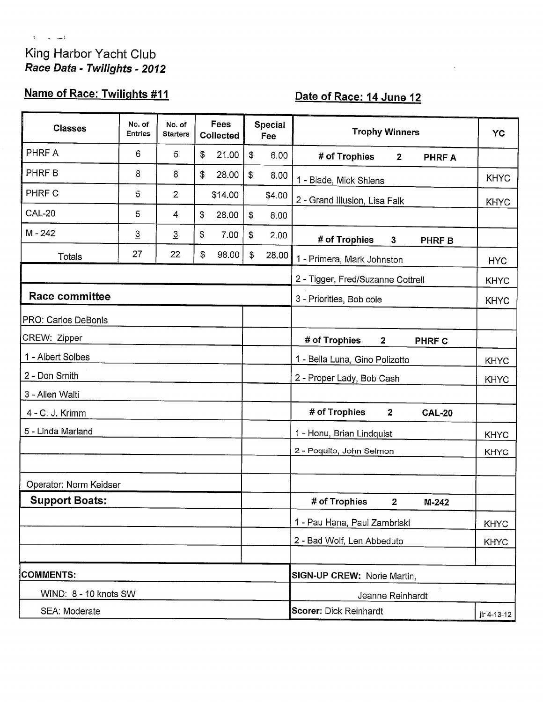### King Harbor Yacht Club Race Data - Twilights - 2012

 $\bar{t}=-\frac{1}{2}+\frac{1}{2}+\frac{1}{2}$ 

## Name of Race: Twilights #11

## Date of Race: 14 June 12

| <b>Classes</b>         | No. of<br><b>Entries</b> | No. of<br><b>Starters</b> | Fees<br>Collected |         | <b>Special</b><br>Fee |                  | <b>Trophy Winners</b>                            | YC          |  |  |  |
|------------------------|--------------------------|---------------------------|-------------------|---------|-----------------------|------------------|--------------------------------------------------|-------------|--|--|--|
| PHRF A                 | 6                        | 5                         | \$                | 21.00   | \$                    | 6.00             | # of Trophies<br>$\overline{2}$<br><b>PHRFA</b>  |             |  |  |  |
| PHRF B                 | 8                        | 8                         | \$                | 28.00   | \$                    | 8.00             | 1 - Blade, Mick Shlens                           | <b>KHYC</b> |  |  |  |
| PHRF C                 | 5                        | $\overline{2}$            |                   | \$14.00 |                       | \$4.00           | 2 - Grand Illusion, Lisa Falk                    | <b>KHYC</b> |  |  |  |
| CAL-20                 | 5                        | 4                         | \$                | 28.00   | $\mathfrak{F}$        | 8.00             |                                                  |             |  |  |  |
| $M - 242$              | $\overline{3}$           | $\overline{3}$            | \$                | 7.00    | \$                    | 2.00             | # of Trophies<br>3<br><b>PHRF B</b>              |             |  |  |  |
| <b>Totals</b>          | 27                       | 22                        | \$                | 98.00   | \$                    | 28.00            | 1 - Primera, Mark Johnston                       | <b>HYC</b>  |  |  |  |
|                        |                          |                           |                   |         |                       |                  | 2 - Tigger, Fred/Suzanne Cottrell                | <b>KHYC</b> |  |  |  |
| <b>Race committee</b>  |                          |                           |                   |         |                       |                  | 3 - Priorities, Bob cole                         | <b>KHYC</b> |  |  |  |
| PRO: Carlos DeBonis    |                          |                           |                   |         |                       |                  |                                                  |             |  |  |  |
| CREW: Zipper           |                          |                           |                   |         |                       |                  | # of Trophies<br>$\overline{2}$<br><b>PHRF C</b> |             |  |  |  |
| 1 - Albert Solbes      |                          |                           |                   |         |                       |                  | 1 - Bella Luna, Gino Polizotto<br><b>KHYC</b>    |             |  |  |  |
| 2 - Don Smith          |                          |                           |                   |         |                       |                  | 2 - Proper Lady, Bob Cash<br><b>KHYC</b>         |             |  |  |  |
| 3 - Allen Walti        |                          |                           |                   |         |                       |                  |                                                  |             |  |  |  |
| 4 - C. J. Krimm        |                          |                           |                   |         |                       |                  | # of Trophies<br>$\overline{2}$<br><b>CAL-20</b> |             |  |  |  |
| 5 - Linda Marland      |                          |                           |                   |         |                       |                  | 1 - Honu, Brian Lindquist                        | <b>KHYC</b> |  |  |  |
|                        |                          |                           |                   |         |                       |                  | 2 - Poquito, John Selmon                         | <b>KHYC</b> |  |  |  |
|                        |                          |                           |                   |         |                       |                  |                                                  |             |  |  |  |
| Operator: Norm Keidser |                          |                           |                   |         |                       |                  |                                                  |             |  |  |  |
| <b>Support Boats:</b>  |                          |                           |                   |         |                       |                  | # of Trophies<br>$\mathbf{2}$<br>$M-242$         |             |  |  |  |
|                        |                          |                           |                   |         |                       |                  | 1 - Pau Hana, Paul Zambriski                     | <b>KHYC</b> |  |  |  |
|                        |                          |                           |                   |         |                       |                  | 2 - Bad Wolf, Len Abbeduto                       | <b>KHYC</b> |  |  |  |
|                        |                          |                           |                   |         |                       |                  |                                                  |             |  |  |  |
| <b>COMMENTS:</b>       |                          |                           |                   |         |                       |                  | SIGN-UP CREW: Norie Martin,                      |             |  |  |  |
| WIND: 8 - 10 knots SW  |                          |                           |                   |         |                       | Jeanne Reinhardt |                                                  |             |  |  |  |
| SEA: Moderate          |                          |                           |                   |         |                       |                  | <b>Scorer: Dick Reinhardt</b><br>jlr 4-13-12     |             |  |  |  |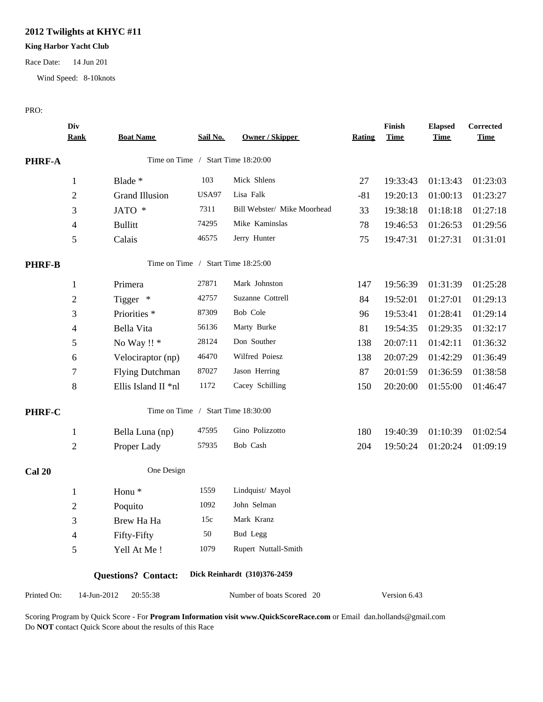### **2012 Twilights at KHYC #11**

#### **King Harbor Yacht Club**

Race Date: 14 Jun 201

Wind Speed: 8-10knots

#### PRO:

|               | Div<br><b>Rank</b> | <b>Boat Name</b>           | Sail No. | <b>Owner / Skipper</b>             | <b>Rating</b> | Finish<br><b>Time</b> | <b>Elapsed</b><br><b>Time</b> | Corrected<br><b>Time</b> |
|---------------|--------------------|----------------------------|----------|------------------------------------|---------------|-----------------------|-------------------------------|--------------------------|
| <b>PHRF-A</b> |                    |                            |          | Time on Time / Start Time 18:20:00 |               |                       |                               |                          |
|               | 1                  | Blade *                    | 103      | Mick Shlens                        | 27            | 19:33:43              | 01:13:43                      | 01:23:03                 |
|               | $\overline{c}$     | <b>Grand Illusion</b>      | USA97    | Lisa Falk                          | $-81$         | 19:20:13              | 01:00:13                      | 01:23:27                 |
|               | 3                  | JATO *                     | 7311     | Bill Webster/ Mike Moorhead        | 33            | 19:38:18              | 01:18:18                      | 01:27:18                 |
|               | 4                  | <b>Bullitt</b>             | 74295    | Mike Kaminslas                     | 78            | 19:46:53              | 01:26:53                      | 01:29:56                 |
|               | 5                  | Calais                     | 46575    | Jerry Hunter                       | 75            | 19:47:31              | 01:27:31                      | 01:31:01                 |
| <b>PHRF-B</b> |                    |                            |          | Time on Time / Start Time 18:25:00 |               |                       |                               |                          |
|               | 1                  | Primera                    | 27871    | Mark Johnston                      | 147           | 19:56:39              | 01:31:39                      | 01:25:28                 |
|               | 2                  | Tigger *                   | 42757    | Suzanne Cottrell                   | 84            | 19:52:01              | 01:27:01                      | 01:29:13                 |
|               | 3                  | Priorities <sup>*</sup>    | 87309    | Bob Cole                           | 96            | 19:53:41              | 01:28:41                      | 01:29:14                 |
|               | 4                  | Bella Vita                 | 56136    | Marty Burke                        | 81            | 19:54:35              | 01:29:35                      | 01:32:17                 |
|               | 5                  | No Way !! *                | 28124    | Don Souther                        | 138           | 20:07:11              | 01:42:11                      | 01:36:32                 |
|               | 6                  | Velociraptor (np)          | 46470    | Wilfred Poiesz                     | 138           | 20:07:29              | 01:42:29                      | 01:36:49                 |
|               | 7                  | <b>Flying Dutchman</b>     | 87027    | Jason Herring                      | 87            | 20:01:59              | 01:36:59                      | 01:38:58                 |
|               | $\,8\,$            | Ellis Island II *nl        | 1172     | Cacey Schilling                    | 150           | 20:20:00              | 01:55:00                      | 01:46:47                 |
| PHRF-C        |                    |                            |          | Time on Time / Start Time 18:30:00 |               |                       |                               |                          |
|               | $\mathbf{1}$       | Bella Luna (np)            | 47595    | Gino Polizzotto                    | 180           | 19:40:39              | 01:10:39                      | 01:02:54                 |
|               | $\overline{c}$     | Proper Lady                | 57935    | Bob Cash                           | 204           | 19:50:24              | 01:20:24                      | 01:09:19                 |
| <b>Cal 20</b> |                    | One Design                 |          |                                    |               |                       |                               |                          |
|               | $\mathbf{1}$       | Honu <sup>*</sup>          | 1559     | Lindquist/ Mayol                   |               |                       |                               |                          |
|               | $\overline{c}$     | Poquito                    | 1092     | John Selman                        |               |                       |                               |                          |
|               | 3                  | Brew Ha Ha                 | 15c      | Mark Kranz                         |               |                       |                               |                          |
|               | 4                  | Fifty-Fifty                | 50       | Bud Legg                           |               |                       |                               |                          |
|               | 5                  | Yell At Me!                | 1079     | Rupert Nuttall-Smith               |               |                       |                               |                          |
|               |                    | <b>Questions?</b> Contact: |          | Dick Reinhardt (310)376-2459       |               |                       |                               |                          |
| Printed On:   | 14-Jun-2012        | 20:55:38                   |          | Number of boats Scored 20          |               | Version 6.43          |                               |                          |

Scoring Program by Quick Score - For **Program Information visit www.QuickScoreRace.com** or Email dan.hollands@gmail.com Do **NOT** contact Quick Score about the results of this Race